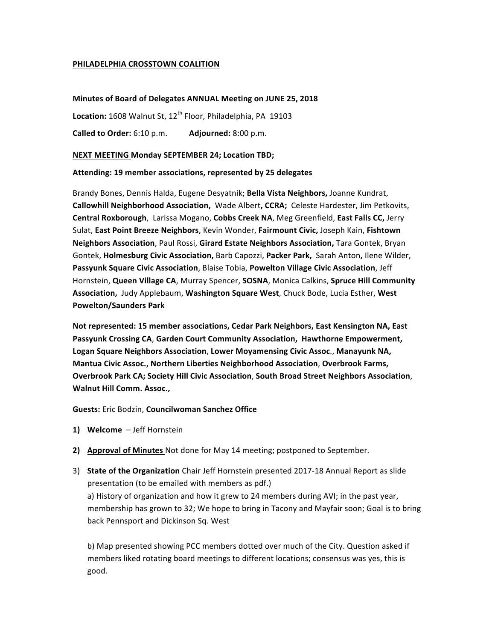# **PHILADELPHIA CROSSTOWN COALITION**

# **Minutes of Board of Delegates ANNUAL Meeting on JUNE 25, 2018**

Location: 1608 Walnut St, 12<sup>th</sup> Floor, Philadelphia, PA 19103

**Called to Order:** 6:10 p.m. **Adjourned:** 8:00 p.m.

# **NEXT MEETING Monday SEPTEMBER 24; Location TBD;**

### **Attending: 19 member associations, represented by 25 delegates**

Brandy Bones, Dennis Halda, Eugene Desyatnik; Bella Vista Neighbors, Joanne Kundrat, **Callowhill Neighborhood Association, Wade Albert, CCRA; Celeste Hardester, Jim Petkovits, Central Roxborough,** Larissa Mogano, Cobbs Creek NA, Meg Greenfield, East Falls CC, Jerry Sulat, East Point Breeze Neighbors, Kevin Wonder, Fairmount Civic, Joseph Kain, Fishtown **Neighbors Association**, Paul Rossi, Girard Estate Neighbors Association, Tara Gontek, Bryan Gontek, **Holmesburg Civic Association,** Barb Capozzi, Packer Park, Sarah Anton, Ilene Wilder, **Passyunk Square Civic Association**, Blaise Tobia, Powelton Village Civic Association, Jeff Hornstein, Queen Village CA, Murray Spencer, SOSNA, Monica Calkins, Spruce Hill Community Association, Judy Applebaum, Washington Square West, Chuck Bode, Lucia Esther, West **Powelton/Saunders Park**

Not represented: 15 member associations, Cedar Park Neighbors, East Kensington NA, East **Passyunk Crossing CA, Garden Court Community Association, Hawthorne Empowerment,** Logan Square Neighbors Association, Lower Moyamensing Civic Assoc., Manayunk NA, **Mantua Civic Assoc., Northern Liberties Neighborhood Association, Overbrook Farms, Overbrook Park CA; Society Hill Civic Association**, **South Broad Street Neighbors Association**, Walnut Hill Comm. Assoc.,

**Guests:** Eric Bodzin, **Councilwoman Sanchez Office**

- 1) **Welcome** Jeff Hornstein
- **2) Approval of Minutes** Not done for May 14 meeting; postponed to September.
- 3) State of the Organization Chair Jeff Hornstein presented 2017-18 Annual Report as slide presentation (to be emailed with members as pdf.) a) History of organization and how it grew to 24 members during AVI; in the past year, membership has grown to 32; We hope to bring in Tacony and Mayfair soon; Goal is to bring back Pennsport and Dickinson Sq. West

b) Map presented showing PCC members dotted over much of the City. Question asked if members liked rotating board meetings to different locations; consensus was yes, this is good.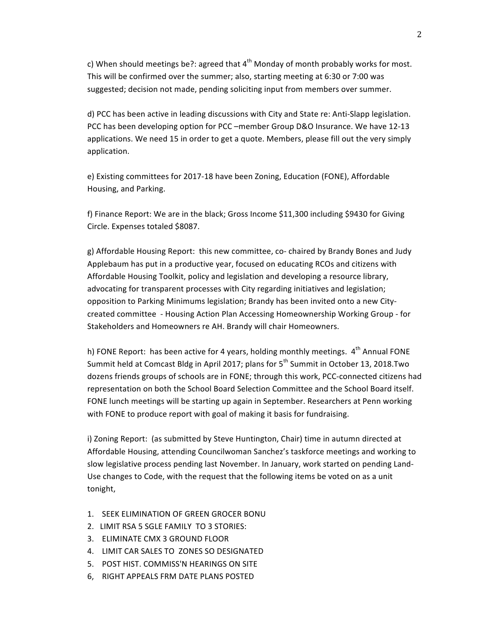c) When should meetings be?: agreed that  $4<sup>th</sup>$  Monday of month probably works for most. This will be confirmed over the summer; also, starting meeting at 6:30 or 7:00 was suggested; decision not made, pending soliciting input from members over summer.

d) PCC has been active in leading discussions with City and State re: Anti-Slapp legislation. PCC has been developing option for PCC –member Group D&O Insurance. We have 12-13 applications. We need 15 in order to get a quote. Members, please fill out the very simply application.

e) Existing committees for 2017-18 have been Zoning, Education (FONE), Affordable Housing, and Parking.

f) Finance Report: We are in the black; Gross Income \$11,300 including \$9430 for Giving Circle. Expenses totaled \$8087.

g) Affordable Housing Report: this new committee, co- chaired by Brandy Bones and Judy Applebaum has put in a productive year, focused on educating RCOs and citizens with Affordable Housing Toolkit, policy and legislation and developing a resource library, advocating for transparent processes with City regarding initiatives and legislation; opposition to Parking Minimums legislation; Brandy has been invited onto a new Citycreated committee - Housing Action Plan Accessing Homeownership Working Group - for Stakeholders and Homeowners re AH. Brandy will chair Homeowners.

h) FONE Report: has been active for 4 years, holding monthly meetings.  $4<sup>th</sup>$  Annual FONE Summit held at Comcast Bldg in April 2017; plans for  $5<sup>th</sup>$  Summit in October 13, 2018.Two dozens friends groups of schools are in FONE; through this work, PCC-connected citizens had representation on both the School Board Selection Committee and the School Board itself. FONE lunch meetings will be starting up again in September. Researchers at Penn working with FONE to produce report with goal of making it basis for fundraising.

i) Zoning Report: (as submitted by Steve Huntington, Chair) time in autumn directed at Affordable Housing, attending Councilwoman Sanchez's taskforce meetings and working to slow legislative process pending last November. In January, work started on pending Land-Use changes to Code, with the request that the following items be voted on as a unit tonight,

- 1. SEEK ELIMINATION OF GREEN GROCER BONU
- 2. LIMIT RSA 5 SGLE FAMILY TO 3 STORIES:
- 3. ELIMINATE CMX 3 GROUND FLOOR
- 4. LIMIT CAR SALES TO ZONES SO DESIGNATED
- 5. POST HIST. COMMISS'N HEARINGS ON SITE
- 6, RIGHT APPEALS FRM DATE PLANS POSTED